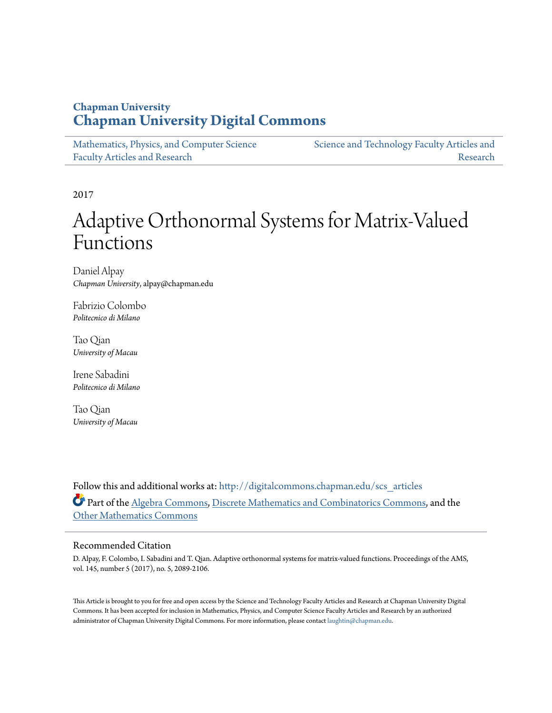## **Chapman University [Chapman University Digital Commons](http://digitalcommons.chapman.edu?utm_source=digitalcommons.chapman.edu%2Fscs_articles%2F400&utm_medium=PDF&utm_campaign=PDFCoverPages)**

| Mathematics, Physics, and Computer Science | Science and Technology Faculty Articles and |
|--------------------------------------------|---------------------------------------------|
| <b>Faculty Articles and Research</b>       | Research                                    |

2017

# Adaptive Orthonormal Systems for Matrix-Valued Functions

Daniel Alpay *Chapman University*, alpay@chapman.edu

Fabrizio Colombo *Politecnico di Milano*

Tao Qian *University of Macau*

Irene Sabadini *Politecnico di Milano*

Tao Qian *University of Macau*

Follow this and additional works at: [http://digitalcommons.chapman.edu/scs\\_articles](http://digitalcommons.chapman.edu/scs_articles?utm_source=digitalcommons.chapman.edu%2Fscs_articles%2F400&utm_medium=PDF&utm_campaign=PDFCoverPages) Part of the [Algebra Commons,](http://network.bepress.com/hgg/discipline/175?utm_source=digitalcommons.chapman.edu%2Fscs_articles%2F400&utm_medium=PDF&utm_campaign=PDFCoverPages) [Discrete Mathematics and Combinatorics Commons](http://network.bepress.com/hgg/discipline/178?utm_source=digitalcommons.chapman.edu%2Fscs_articles%2F400&utm_medium=PDF&utm_campaign=PDFCoverPages), and the [Other Mathematics Commons](http://network.bepress.com/hgg/discipline/185?utm_source=digitalcommons.chapman.edu%2Fscs_articles%2F400&utm_medium=PDF&utm_campaign=PDFCoverPages)

## Recommended Citation

D. Alpay, F. Colombo, I. Sabadini and T. Qian. Adaptive orthonormal systems for matrix-valued functions. Proceedings of the AMS, vol. 145, number 5 (2017), no. 5, 2089-2106.

This Article is brought to you for free and open access by the Science and Technology Faculty Articles and Research at Chapman University Digital Commons. It has been accepted for inclusion in Mathematics, Physics, and Computer Science Faculty Articles and Research by an authorized administrator of Chapman University Digital Commons. For more information, please contact [laughtin@chapman.edu.](mailto:laughtin@chapman.edu)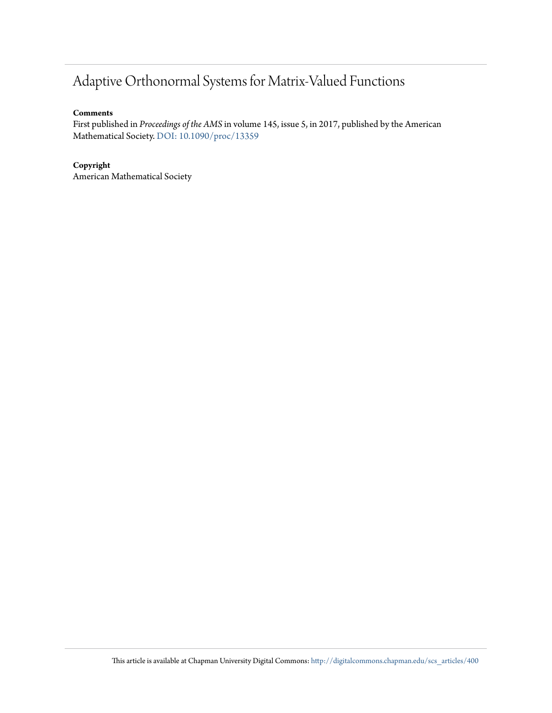## Adaptive Orthonormal Systems for Matrix-Valued Functions

## **Comments**

First published in *Proceedings of the AMS* in volume 145, issue 5, in 2017, published by the American Mathematical Society. [DOI: 10.1090/proc/13359](https://doi.org/10.1090/proc/13359)

## **Copyright**

American Mathematical Society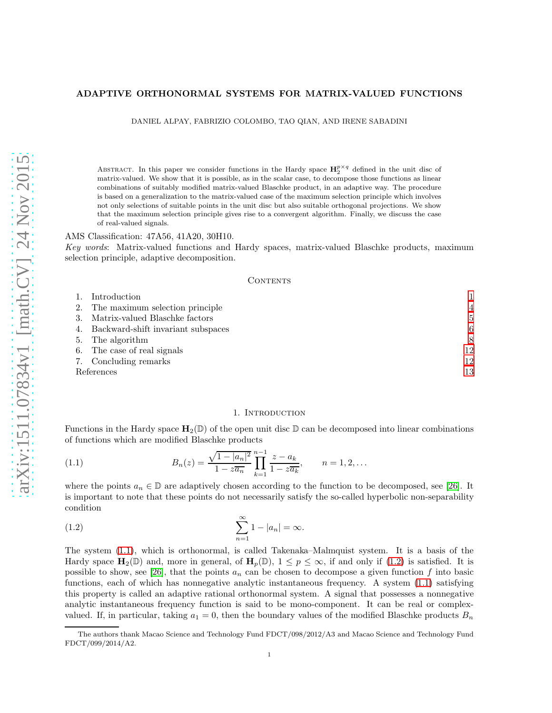#### ADAPTIVE ORTHONORMAL SYSTEMS FOR MATRIX-VALUED FUNCTIONS

DANIEL ALPAY, FABRIZIO COLOMBO, TAO QIAN, AND IRENE SABADINI

ABSTRACT. In this paper we consider functions in the Hardy space  $\mathbf{H}_{2}^{p\times q}$  defined in the unit disc of matrix-valued. We show that it is possible, as in the scalar case, to decompose those functions as linear combinations of suitably modified matrix-valued Blaschke product, in an adaptive way. The procedure is based on a generalization to the matrix-valued case of the maximum selection principle which involves not only selections of suitable points in the unit disc but also suitable orthogonal projections. We show that the maximum selection principle gives rise to a convergent algorithm. Finally, we discuss the case of real-valued signals.

#### AMS Classification: 47A56, 41A20, 30H10.

Key words: Matrix-valued functions and Hardy spaces, matrix-valued Blaschke products, maximum selection principle, adaptive decomposition.

#### CONTENTS

|            | Introduction                          |                |
|------------|---------------------------------------|----------------|
|            | The maximum selection principle       | $\overline{4}$ |
|            | Matrix-valued Blaschke factors        | 5              |
|            | 4. Backward-shift invariant subspaces | 6              |
|            | 5. The algorithm                      | 8              |
| 6.         | The case of real signals              | 12             |
|            | 7. Concluding remarks                 | 12             |
| References |                                       | 13             |

#### <span id="page-2-2"></span><span id="page-2-1"></span>1. Introduction

<span id="page-2-0"></span>Functions in the Hardy space  $H_2(\mathbb{D})$  of the open unit disc  $\mathbb{D}$  can be decomposed into linear combinations of functions which are modified Blaschke products

(1.1) 
$$
B_n(z) = \frac{\sqrt{1-|a_n|^2}}{1-z\overline{a_n}} \prod_{k=1}^{n-1} \frac{z-a_k}{1-z\overline{a_k}}, \qquad n = 1, 2, ...
$$

where the points  $a_n \in \mathbb{D}$  are adaptively chosen according to the function to be decomposed, see [\[26\]](#page-14-1). It is important to note that these points do not necessarily satisfy the so-called hyperbolic non-separability condition

$$
\sum_{n=1}^{\infty} 1 - |a_n| = \infty.
$$

The system [\(1.1\)](#page-2-1), which is orthonormal, is called Takenaka–Malmquist system. It is a basis of the Hardy space  $\mathbf{H}_2(\mathbb{D})$  and, more in general, of  $\mathbf{H}_p(\mathbb{D})$ ,  $1 \leq p \leq \infty$ , if and only if [\(1.2\)](#page-2-2) is satisfied. It is possible to show, see [\[26\]](#page-14-1), that the points  $a_n$  can be chosen to decompose a given function f into basic functions, each of which has nonnegative analytic instantaneous frequency. A system [\(1.1\)](#page-2-1) satisfying this property is called an adaptive rational orthonormal system. A signal that possesses a nonnegative analytic instantaneous frequency function is said to be mono-component. It can be real or complexvalued. If, in particular, taking  $a_1 = 0$ , then the boundary values of the modified Blaschke products  $B_n$ 

The authors thank Macao Science and Technology Fund FDCT/098/2012/A3 and Macao Science and Technology Fund FDCT/099/2014/A2.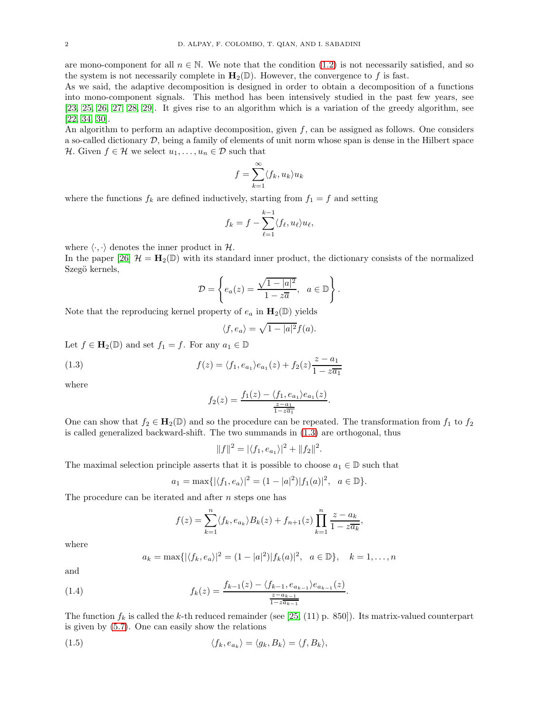are mono-component for all  $n \in \mathbb{N}$ . We note that the condition [\(1.2\)](#page-2-2) is not necessarily satisfied, and so the system is not necessarily complete in  $\mathbf{H}_2(\mathbb{D})$ . However, the convergence to f is fast.

As we said, the adaptive decomposition is designed in order to obtain a decomposition of a functions into mono-component signals. This method has been intensively studied in the past few years, see [\[23,](#page-14-2) [25,](#page-14-3) [26,](#page-14-1) [27,](#page-14-4) [28,](#page-14-5) [29\]](#page-14-6). It gives rise to an algorithm which is a variation of the greedy algorithm, see [\[22,](#page-14-7) [34,](#page-15-0) [30\]](#page-15-1).

An algorithm to perform an adaptive decomposition, given  $f$ , can be assigned as follows. One considers a so-called dictionary  $D$ , being a family of elements of unit norm whose span is dense in the Hilbert space H. Given  $f \in \mathcal{H}$  we select  $u_1, \ldots, u_n \in \mathcal{D}$  such that

$$
f = \sum_{k=1}^{\infty} \langle f_k, u_k \rangle u_k
$$

where the functions  $f_k$  are defined inductively, starting from  $f_1 = f$  and setting

$$
f_k = f - \sum_{\ell=1}^{k-1} \langle f_\ell, u_\ell \rangle u_\ell,
$$

where  $\langle \cdot, \cdot \rangle$  denotes the inner product in H.

In the paper [\[26\]](#page-14-1)  $\mathcal{H} = H_2(\mathbb{D})$  with its standard inner product, the dictionary consists of the normalized Szegö kernels,

$$
\mathcal{D} = \left\{ e_a(z) = \frac{\sqrt{1 - |a|^2}}{1 - z\overline{a}}, \ a \in \mathbb{D} \right\}.
$$

Note that the reproducing kernel property of  $e_a$  in  $\mathbf{H}_2(\mathbb{D})$  yields

$$
\langle f, e_a \rangle = \sqrt{1 - |a|^2} f(a).
$$

Let  $f \in \mathbf{H}_2(\mathbb{D})$  and set  $f_1 = f$ . For any  $a_1 \in \mathbb{D}$ 

(1.3) 
$$
f(z) = \langle f_1, e_{a_1} \rangle e_{a_1}(z) + f_2(z) \frac{z - a_1}{1 - z a_1}
$$

where

<span id="page-3-0"></span>
$$
f_2(z) = \frac{f_1(z) - \langle f_1, e_{a_1} \rangle e_{a_1}(z)}{\frac{z - a_1}{1 - z a_1}}.
$$

One can show that  $f_2 \in \mathbf{H}_2(\mathbb{D})$  and so the procedure can be repeated. The transformation from  $f_1$  to  $f_2$ is called generalized backward-shift. The two summands in [\(1.3\)](#page-3-0) are orthogonal, thus

$$
||f||^2 = |\langle f_1, e_{a_1} \rangle|^2 + ||f_2||^2.
$$

The maximal selection principle asserts that it is possible to choose  $a_1 \in \mathbb{D}$  such that

$$
a_1 = \max\{|\langle f_1, e_a \rangle|^2 = (1 - |a|^2)|f_1(a)|^2, a \in \mathbb{D}\}.
$$

The procedure can be iterated and after  $n$  steps one has

$$
f(z) = \sum_{k=1}^{n} \langle f_k, e_{a_k} \rangle B_k(z) + f_{n+1}(z) \prod_{k=1}^{n} \frac{z - a_k}{1 - z \overline{a_k}},
$$

where

<span id="page-3-1"></span>
$$
a_k = \max\{|\langle f_k, e_a \rangle|^2 = (1 - |a|^2)|f_k(a)|^2, a \in \mathbb{D}\}, k = 1, ..., n
$$

.

and

(1.4) 
$$
f_k(z) = \frac{f_{k-1}(z) - \langle f_{k-1}, e_{a_{k-1}} \rangle e_{a_{k-1}}(z)}{\frac{z - a_{k-1}}{1 - z a_{k-1}}}
$$

The function  $f_k$  is called the k-th reduced remainder (see [\[25,](#page-14-3) (11) p. 850]). Its matrix-valued counterpart is given by [\(5.7\)](#page-10-0). One can easily show the relations

(1.5) 
$$
\langle f_k, e_{a_k} \rangle = \langle g_k, B_k \rangle = \langle f, B_k \rangle,
$$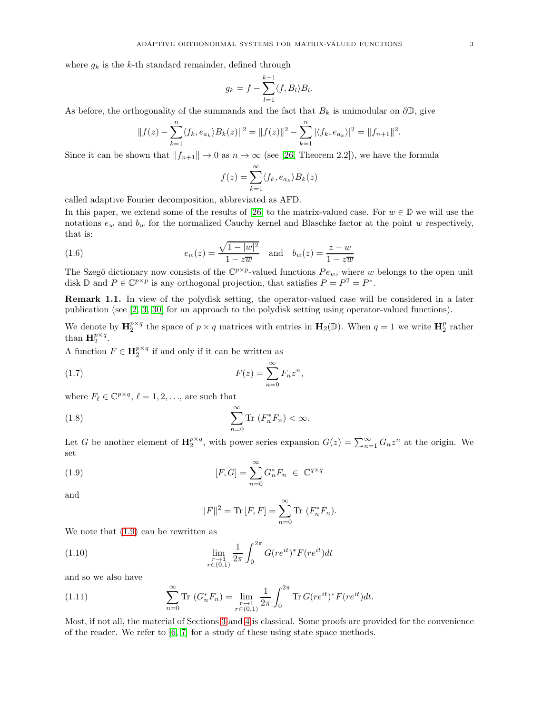where  $g_k$  is the k-th standard remainder, defined through

$$
g_k = f - \sum_{l=1}^{k-1} \langle f, B_l \rangle B_l.
$$

As before, the orthogonality of the summands and the fact that  $B_k$  is unimodular on  $\partial\mathbb{D}$ , give

$$
||f(z) - \sum_{k=1}^{n} \langle f_k, e_{a_k} \rangle B_k(z)||^2 = ||f(z)||^2 - \sum_{k=1}^{n} |\langle f_k, e_{a_k} \rangle|^2 = ||f_{n+1}||^2.
$$

Since it can be shown that  $||f_{n+1}|| \to 0$  as  $n \to \infty$  (see [\[26,](#page-14-1) Theorem 2.2]), we have the formula

<span id="page-4-3"></span>
$$
f(z) = \sum_{k=1}^{\infty} \langle f_k, e_{a_k} \rangle B_k(z)
$$

called adaptive Fourier decomposition, abbreviated as AFD.

In this paper, we extend some of the results of [\[26\]](#page-14-1) to the matrix-valued case. For  $w \in \mathbb{D}$  we will use the notations  $e_w$  and  $b_w$  for the normalized Cauchy kernel and Blaschke factor at the point w respectively, that is:

(1.6) 
$$
e_w(z) = \frac{\sqrt{1 - |w|^2}}{1 - z\overline{w}} \text{ and } b_w(z) = \frac{z - w}{1 - z\overline{w}}
$$

The Szegö dictionary now consists of the  $\mathbb{C}^{p\times p}$ -valued functions  $Pe_w$ , where w belongs to the open unit disk  $\mathbb{D}$  and  $P \in \mathbb{C}^{p \times p}$  is any orthogonal projection, that satisfies  $P = P^2 = P^*$ .

Remark 1.1. In view of the polydisk setting, the operator-valued case will be considered in a later publication (see [\[2,](#page-14-8) [3,](#page-14-9) [30\]](#page-15-1) for an approach to the polydisk setting using operator-valued functions).

We denote by  $\mathbf{H}_{2}^{p\times q}$  the space of  $p\times q$  matrices with entries in  $\mathbf{H}_{2}(\mathbb{D})$ . When  $q=1$  we write  $\mathbf{H}_{2}^{p}$  rather than  $\mathbf{H}_2^{p \times q}$ .

A function  $F \in \mathbf{H}_2^{p \times q}$  if and only if it can be written as

(1.7) 
$$
F(z) = \sum_{n=0}^{\infty} F_n z^n,
$$

where  $F_{\ell} \in \mathbb{C}^{p \times q}$ ,  $\ell = 1, 2, \ldots$ , are such that

(1.8) 
$$
\sum_{n=0}^{\infty} \text{Tr} \left( F_n^* F_n \right) < \infty.
$$

Let G be another element of  $\mathbf{H}_{2}^{p\times q}$ , with power series expansion  $G(z) = \sum_{n=1}^{\infty} G_n z^n$  at the origin. We set

(1.9) 
$$
[F,G] = \sum_{n=0}^{\infty} G_n^* F_n \in \mathbb{C}^{q \times q}
$$

and

<span id="page-4-4"></span><span id="page-4-2"></span><span id="page-4-1"></span><span id="page-4-0"></span>
$$
||F||^2 = \text{Tr}[F, F] = \sum_{n=0}^{\infty} \text{Tr}(F_n^* F_n).
$$

We note that  $(1.9)$  can be rewritten as

(1.10) 
$$
\lim_{\substack{r \to 1 \\ r \in (0,1)}} \frac{1}{2\pi} \int_0^{2\pi} G(re^{it})^* F(re^{it}) dt
$$

and so we also have

(1.11) 
$$
\sum_{n=0}^{\infty} \text{Tr} \ (G_n^* F_n) = \lim_{\substack{r \to 1 \\ r \in (0,1)}} \frac{1}{2\pi} \int_0^{2\pi} \text{Tr} \ G(re^{it})^* F(re^{it}) dt.
$$

Most, if not all, the material of Sections [3](#page-6-0) and [4](#page-7-0) is classical. Some proofs are provided for the convenience of the reader. We refer to [\[6,](#page-14-10) [7\]](#page-14-11) for a study of these using state space methods.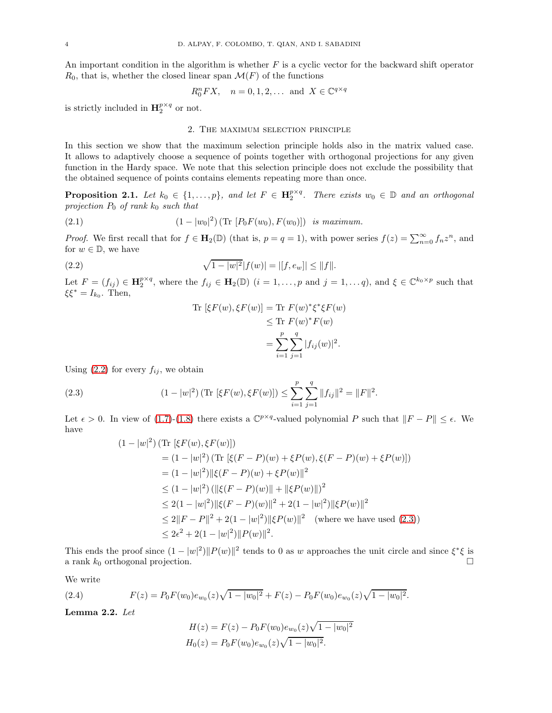An important condition in the algorithm is whether  $F$  is a cyclic vector for the backward shift operator  $R_0$ , that is, whether the closed linear span  $\mathcal{M}(F)$  of the functions

$$
R_0^n FX, \quad n = 0, 1, 2, \dots \text{ and } X \in \mathbb{C}^{q \times q}
$$

<span id="page-5-0"></span>is strictly included in  $\mathbf{H}_{2}^{p \times q}$  or not.

### 2. The maximum selection principle

In this section we show that the maximum selection principle holds also in the matrix valued case. It allows to adaptively choose a sequence of points together with orthogonal projections for any given function in the Hardy space. We note that this selection principle does not exclude the possibility that the obtained sequence of points contains elements repeating more than once.

**Proposition 2.1.** Let  $k_0 \in \{1, ..., p\}$ , and let  $F \in \mathbf{H}_2^{p \times q}$ . There exists  $w_0 \in \mathbb{D}$  and an orthogonal projection  $P_0$  of rank  $k_0$  such that

(2.1) 
$$
(1 - |w_0|^2) (\text{Tr} [P_0 F(w_0), F(w_0)]) \text{ is maximum.}
$$

*Proof.* We first recall that for  $f \in \mathbf{H}_2(\mathbb{D})$  (that is,  $p = q = 1$ ), with power series  $f(z) = \sum_{n=0}^{\infty} f_n z^n$ , and for  $w \in \mathbb{D}$ , we have

(2.2) 
$$
\sqrt{1-|w|^2}|f(w)| = |[f, e_w]| \le ||f||.
$$

Let  $F = (f_{ij}) \in \mathbf{H}_{2}^{p \times q}$ , where the  $f_{ij} \in \mathbf{H}_{2}(\mathbb{D})$   $(i = 1, \ldots, p \text{ and } j = 1, \ldots, q)$ , and  $\xi \in \mathbb{C}^{k_{0} \times p}$  such that  $\xi \xi^* = I_{k_0}$ . Then,

<span id="page-5-4"></span><span id="page-5-1"></span>Tr 
$$
[\xi F(w), \xi F(w)]
$$
 = Tr  $F(w)^* \xi^* \xi F(w)$   
\n $\leq$  Tr  $F(w)^* F(w)$   
\n $= \sum_{i=1}^p \sum_{j=1}^q |f_{ij}(w)|^2$ .

Using  $(2.2)$  for every  $f_{ij}$ , we obtain

(2.3) 
$$
(1-|w|^2) \left( \text{Tr} \left[ \xi F(w), \xi F(w) \right] \right) \leq \sum_{i=1}^p \sum_{j=1}^q \|f_{ij}\|^2 = \|F\|^2.
$$

Let  $\epsilon > 0$ . In view of [\(1.7\)](#page-4-1)-[\(1.8\)](#page-4-2) there exists a  $\mathbb{C}^{p \times q}$ -valued polynomial P such that  $||F - P|| \leq \epsilon$ . We have

<span id="page-5-2"></span>
$$
(1 - |w|^2) \left( \text{Tr} \left[ \xi F(w), \xi F(w) \right] \right)
$$
  
=  $(1 - |w|^2) \left( \text{Tr} \left[ \xi (F - P)(w) + \xi P(w), \xi (F - P)(w) + \xi P(w) \right] \right)$   
=  $(1 - |w|^2) ||\xi (F - P)(w) + \xi P(w) ||^2$   
 $\leq (1 - |w|^2) \left( ||\xi (F - P)(w)|| + ||\xi P(w)|| \right)^2$   
 $\leq 2(1 - |w|^2) ||\xi (F - P)(w)||^2 + 2(1 - |w|^2) ||\xi P(w)||^2$   
 $\leq 2||F - P||^2 + 2(1 - |w|^2) ||\xi P(w)||^2$  (where we have used (2.3))  
 $\leq 2\epsilon^2 + 2(1 - |w|^2) ||P(w)||^2.$ 

This ends the proof since  $(1 - |w|^2) ||P(w)||^2$  tends to 0 as w approaches the unit circle and since  $\xi^* \xi$  is a rank  $k_0$  orthogonal projection.

We write

(2.4) 
$$
F(z) = P_0 F(w_0) e_{w_0}(z) \sqrt{1 - |w_0|^2} + F(z) - P_0 F(w_0) e_{w_0}(z) \sqrt{1 - |w_0|^2}.
$$

Lemma 2.2. Let

<span id="page-5-3"></span>
$$
H(z) = F(z) - P_0 F(w_0) e_{w_0}(z) \sqrt{1 - |w_0|^2}
$$
  
\n
$$
H_0(z) = P_0 F(w_0) e_{w_0}(z) \sqrt{1 - |w_0|^2}.
$$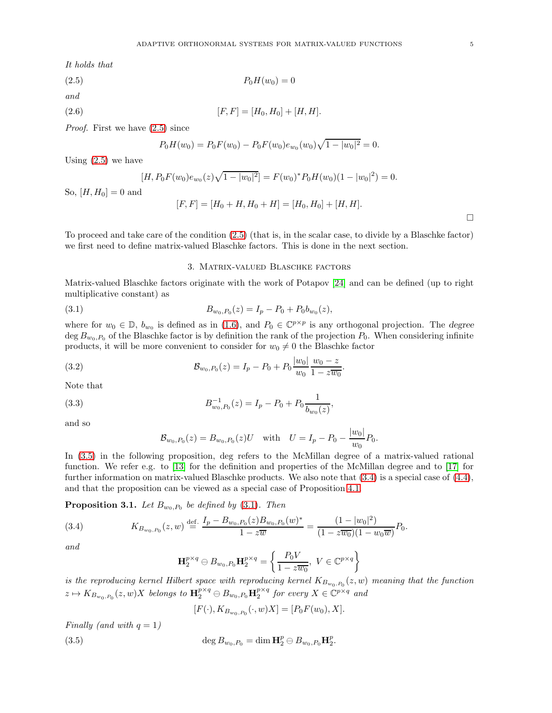It holds that

$$
(2.5) \t\t P_0H(w_0) = 0
$$

and

(2.6) 
$$
[F,F] = [H_0, H_0] + [H, H].
$$

Proof. First we have [\(2.5\)](#page-6-1) since

<span id="page-6-1"></span>
$$
P_0H(w_0) = P_0F(w_0) - P_0F(w_0)e_{w_0}(w_0)\sqrt{1-|w_0|^2} = 0.
$$

Using [\(2.5\)](#page-6-1) we have

$$
[H, P_0 F(w_0) e_{w_0}(z) \sqrt{1 - |w_0|^2}] = F(w_0)^* P_0 H(w_0) (1 - |w_0|^2) = 0.
$$

So,  $[H, H_0] = 0$  and

$$
[F, F] = [H_0 + H, H_0 + H] = [H_0, H_0] + [H, H].
$$

.

<span id="page-6-0"></span>To proceed and take care of the condition [\(2.5\)](#page-6-1) (that is, in the scalar case, to divide by a Blaschke factor) we first need to define matrix-valued Blaschke factors. This is done in the next section.

### <span id="page-6-4"></span>3. Matrix-valued Blaschke factors

Matrix-valued Blaschke factors originate with the work of Potapov [\[24\]](#page-14-12) and can be defined (up to right multiplicative constant) as

(3.1) 
$$
B_{w_0, P_0}(z) = I_p - P_0 + P_0 b_{w_0}(z),
$$

where for  $w_0 \in \mathbb{D}$ ,  $b_{w_0}$  is defined as in [\(1.6\)](#page-4-3), and  $P_0 \in \mathbb{C}^{p \times p}$  is any orthogonal projection. The degree deg  $B_{w_0,P_0}$  of the Blaschke factor is by definition the rank of the projection  $P_0$ . When considering infinite products, it will be more convenient to consider for  $w_0 \neq 0$  the Blaschke factor

(3.2) 
$$
\mathcal{B}_{w_0, P_0}(z) = I_p - P_0 + P_0 \frac{|w_0|}{w_0} \frac{w_0 - z}{1 - z \overline{w_0}}
$$

Note that

(3.3) 
$$
B_{w_0,P_0}^{-1}(z) = I_p - P_0 + P_0 \frac{1}{b_{w_0}(z)},
$$

and so

<span id="page-6-7"></span><span id="page-6-6"></span>
$$
\mathcal{B}_{w_0, P_0}(z) = B_{w_0, P_0}(z)U \quad \text{with} \quad U = I_p - P_0 - \frac{|w_0|}{w_0}P_0.
$$

In [\(3.5\)](#page-6-2) in the following proposition, deg refers to the McMillan degree of a matrix-valued rational function. We refer e.g. to [\[13\]](#page-14-13) for the definition and properties of the McMillan degree and to [\[17\]](#page-14-14) for further information on matrix-valued Blaschke products. We also note that [\(3.4\)](#page-6-3) is a special case of [\(4.4\)](#page-8-0), and that the proposition can be viewed as a special case of Proposition [4.1.](#page-8-1)

<span id="page-6-5"></span>**Proposition 3.1.** Let  $B_{w_0,P_0}$  be defined by  $(3.1)$ . Then

(3.4) 
$$
K_{B_{w_0,P_0}}(z,w) \stackrel{\text{def.}}{=} \frac{I_p - B_{w_0,P_0}(z)B_{w_0,P_0}(w)^*}{1 - z\overline{w}} = \frac{(1 - |w_0|^2)}{(1 - z\overline{w_0})(1 - w_0\overline{w})}P_0.
$$

and

<span id="page-6-3"></span>
$$
\mathbf{H}_{2}^{p\times q} \ominus B_{w_{0},P_{0}}\mathbf{H}_{2}^{p\times q} = \left\{ \frac{P_{0}V}{1 - z\overline{w_{0}}}, \ V \in \mathbb{C}^{p\times q} \right\}
$$

is the reproducing kernel Hilbert space with reproducing kernel  $K_{B_{w_0,P_0}}(z,w)$  meaning that the function  $z \mapsto K_{B_{w_0,P_0}}(z,w)X$  belongs to  ${\rm\bf H}^{p\times q}_2 \ominus B_{w_0,P_0}{\rm\bf H}^{p\times q}_2$  for every  $X \in \mathbb{C}^{p\times q}$  and

<span id="page-6-2"></span>
$$
[F(\cdot), K_{B_{w_0, P_0}}(\cdot, w)X] = [P_0 F(w_0), X].
$$

Finally (and with  $q = 1$ )

(3.5) 
$$
\deg B_{w_0,P_0} = \dim \mathbf{H}_2^p \ominus B_{w_0,P_0} \mathbf{H}_2^p.
$$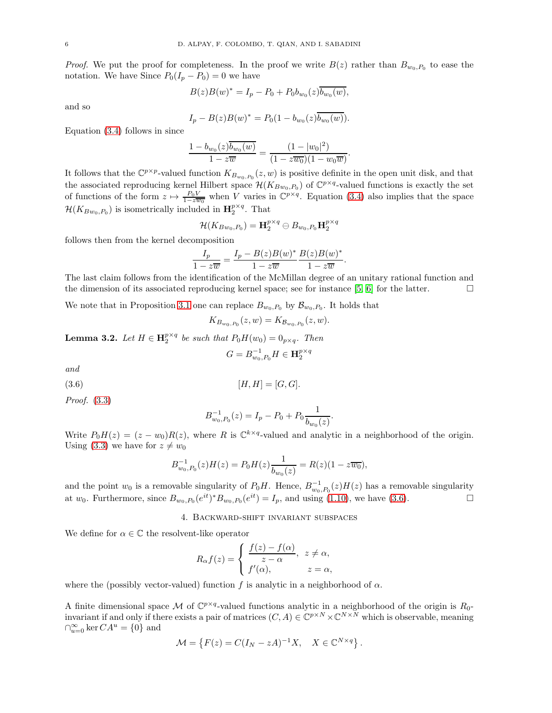*Proof.* We put the proof for completeness. In the proof we write  $B(z)$  rather than  $B_{w_0,P_0}$  to ease the notation. We have Since  $P_0(I_p - P_0) = 0$  we have

$$
B(z)B(w)^* = I_p - P_0 + P_0b_{w_0}(z)\overline{b_{w_0}(w)},
$$

and so

$$
I_p - B(z)B(w)^* = P_0(1 - b_{w_0}(z)\overline{b_{w_0}(w)})
$$

Equation [\(3.4\)](#page-6-3) follows in since

$$
\frac{1 - b_{w_0}(z)\overline{b_{w_0}(w)}}{1 - z\overline{w}} = \frac{(1 - |w_0|^2)}{(1 - z\overline{w_0})(1 - w_0\overline{w})}
$$

.

It follows that the  $\mathbb{C}^{p\times p}$ -valued function  $K_{B_{w_0,P_0}}(z,w)$  is positive definite in the open unit disk, and that the associated reproducing kernel Hilbert space  $\mathcal{H}(K_{B_{w_0},P_0})$  of  $\mathbb{C}^{p \times q}$ -valued functions is exactly the set of functions of the form  $z \mapsto \frac{P_0 V}{1-z\overline{w_0}}$  when V varies in  $\mathbb{C}^{p \times q}$ . Equation [\(3.4\)](#page-6-3) also implies that the space  $\mathcal{H}(K_{Bw_0,P_0})$  is isometrically included in  $\mathbf{H}_2^{p \times q}$ . That

$$
\mathcal{H}(K_{Bw_0,P_0})=\mathbf{H}_2^{p\times q}\ominus B_{w_0,P_0}\mathbf{H}_2^{p\times q}
$$

follows then from the kernel decomposition

$$
\frac{I_p}{1-z\overline{w}} = \frac{I_p - B(z)B(w)^*}{1-z\overline{w}} \frac{B(z)B(w)^*}{1-z\overline{w}}.
$$

The last claim follows from the identification of the McMillan degree of an unitary rational function and the dimension of its associated reproducing kernel space; see for instance [\[5,](#page-14-15) [6\]](#page-14-10) for the latter.  $\Box$ 

We note that in Proposition [3.1](#page-6-5) one can replace  $B_{w_0,P_0}$  by  $\mathcal{B}_{w_0,P_0}$ . It holds that

$$
K_{B_{w_0, P_0}}(z, w) = K_{B_{w_0, P_0}}(z, w).
$$

**Lemma 3.2.** Let  $H \in \mathbf{H}_{2}^{p \times q}$  be such that  $P_0H(w_0) = 0_{p \times q}$ . Then

<span id="page-7-1"></span>
$$
G=B_{w_0,P_0}^{-1}H\in {\bf H}^{p\times q}_2
$$

and

$$
(3.6) \t\t [H,H] = [G,G].
$$

Proof. [\(3.3\)](#page-6-6)

$$
B_{w_0,P_0}^{-1}(z) = I_p - P_0 + P_0 \frac{1}{b_{w_0}(z)}.
$$

Write  $P_0H(z) = (z - w_0)R(z)$ , where R is  $\mathbb{C}^{k \times q}$ -valued and analytic in a neighborhood of the origin. Using [\(3.3\)](#page-6-6) we have for  $z \neq w_0$ 

$$
B_{w_0,P_0}^{-1}(z)H(z) = P_0H(z)\frac{1}{b_{w_0}(z)} = R(z)(1 - z\overline{w_0}),
$$

<span id="page-7-0"></span>and the point  $w_0$  is a removable singularity of  $P_0H$ . Hence,  $B^{-1}_{w_0,P_0}(z)H(z)$  has a removable singularity at  $w_0$ . Furthermore, since  $B_{w_0,P_0}(e^{it})^*B_{w_0,P_0}(e^{it}) = I_p$ , and using [\(1.10\)](#page-4-4), we have [\(3.6\)](#page-7-1).

#### 4. Backward-shift invariant subspaces

We define for  $\alpha \in \mathbb{C}$  the resolvent-like operator

$$
R_{\alpha}f(z) = \begin{cases} \frac{f(z) - f(\alpha)}{z - \alpha}, & z \neq \alpha, \\ f'(\alpha), & z = \alpha, \end{cases}
$$

where the (possibly vector-valued) function f is analytic in a neighborhood of  $\alpha$ .

A finite dimensional space M of  $\mathbb{C}^{p \times q}$ -valued functions analytic in a neighborhood of the origin is  $R_0$ invariant if and only if there exists a pair of matrices  $(C, A) \in \mathbb{C}^{p \times N} \times \mathbb{C}^{N \times N}$  which is observable, meaning  $\bigcap_{u=0}^{\infty} \ker CA^u = \{0\}$  and

$$
\mathcal{M} = \left\{ F(z) = C(I_N - zA)^{-1}X, \quad X \in \mathbb{C}^{N \times q} \right\}.
$$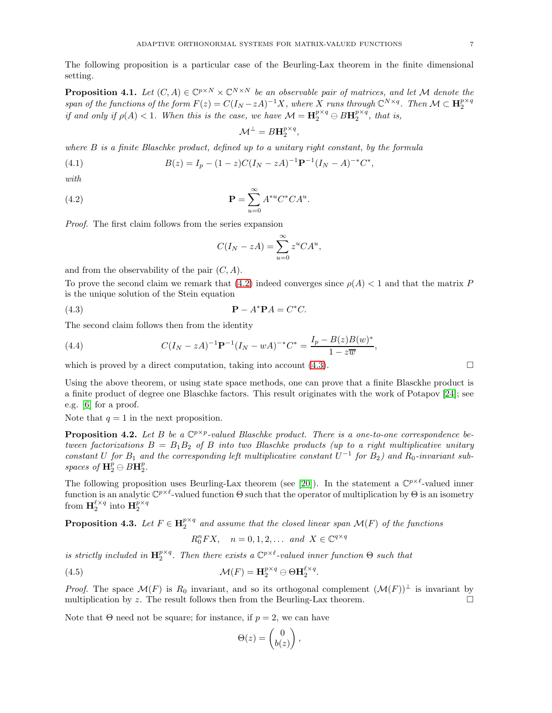The following proposition is a particular case of the Beurling-Lax theorem in the finite dimensional setting.

<span id="page-8-1"></span>**Proposition 4.1.** Let  $(C, A) \in \mathbb{C}^{p \times N} \times \mathbb{C}^{N \times N}$  be an observable pair of matrices, and let M denote the span of the functions of the form  $F(z) = C(I_N - zA)^{-1}X$ , where X runs through  $\mathbb{C}^{N \times q}$ . Then  $\mathcal{M} \subset \mathbf{H}_2^{p \times q}$ if and only if  $\rho(A) < 1$ . When this is the case, we have  $\mathcal{M} = \mathbf{H}_2^{p \times q} \oplus B\mathbf{H}_2^{p \times q}$ , that is,

$$
\mathcal{M}^{\perp} = B\mathbf{H}_2^{p \times q},
$$

where  $B$  is a finite Blaschke product, defined up to a unitary right constant, by the formula

(4.1) 
$$
B(z) = I_p - (1 - z)C(I_N - zA)^{-1} \mathbf{P}^{-1} (I_N - A)^{-*} C^*,
$$

with

(4.2) 
$$
\mathbf{P} = \sum_{u=0}^{\infty} A^{*u} C^* C A^u.
$$

Proof. The first claim follows from the series expansion

<span id="page-8-3"></span><span id="page-8-2"></span>
$$
C(I_N - zA) = \sum_{u=0}^{\infty} z^u C A^u,
$$

and from the observability of the pair  $(C, A)$ .

To prove the second claim we remark that [\(4.2\)](#page-8-2) indeed converges since  $\rho(A) < 1$  and that the matrix P is the unique solution of the Stein equation

(4.3)  $P - A$  $*PA = C^*C.$ 

The second claim follows then from the identity

<span id="page-8-0"></span>(4.4) 
$$
C(I_N - zA)^{-1} \mathbf{P}^{-1} (I_N - wA)^{-*} C^* = \frac{I_p - B(z)B(w)^*}{1 - z\overline{w}},
$$

which is proved by a direct computation, taking into account  $(4.3)$ .

Using the above theorem, or using state space methods, one can prove that a finite Blasckhe product is a finite product of degree one Blaschke factors. This result originates with the work of Potapov [\[24\]](#page-14-12); see e.g. [\[6\]](#page-14-10) for a proof.

Note that  $q = 1$  in the next proposition.

**Proposition 4.2.** Let B be a  $\mathbb{C}^{p \times p}$ -valued Blaschke product. There is a one-to-one correspondence between factorizations  $B = B_1 B_2$  of B into two Blaschke products (up to a right multiplicative unitary constant U for  $B_1$  and the corresponding left multiplicative constant  $U^{-1}$  for  $B_2$ ) and  $R_0$ -invariant subspaces of  $\mathbf{H}_{2}^{p} \ominus B\mathbf{H}_{2}^{p}$ .

The following proposition uses Beurling-Lax theorem (see [\[20\]](#page-14-16)). In the statement a  $\mathbb{C}^{p\times \ell}$ -valued inner function is an analytic  $\mathbb{C}^{p\times \ell}$ -valued function  $\Theta$  such that the operator of multiplication by  $\Theta$  is an isometry from  $\mathbf{H}_{2}^{\ell \times q}$  into  $\mathbf{H}_{2}^{p \times q}$ 

<span id="page-8-4"></span>**Proposition 4.3.** Let  $F \in H_2^{p \times q}$  and assume that the closed linear span  $\mathcal{M}(F)$  of the functions

$$
R_0^n FX, \quad n = 0, 1, 2, \dots \text{ and } X \in \mathbb{C}^{q \times q}
$$

is strictly included in  $\mathbf{H}_{2}^{p\times q}$ . Then there exists a  $\mathbb{C}^{p\times \ell}$ -valued inner function  $\Theta$  such that

(4.5) 
$$
\mathcal{M}(F) = \mathbf{H}_2^{p \times q} \ominus \Theta \mathbf{H}_2^{\ell \times q}.
$$

*Proof.* The space  $\mathcal{M}(F)$  is  $R_0$  invariant, and so its orthogonal complement  $(\mathcal{M}(F))^{\perp}$  is invariant by multiplication by z. The result follows then from the Beurling-Lax theorem. multiplication by z. The result follows then from the Beurling-Lax theorem.

Note that  $\Theta$  need not be square; for instance, if  $p = 2$ , we can have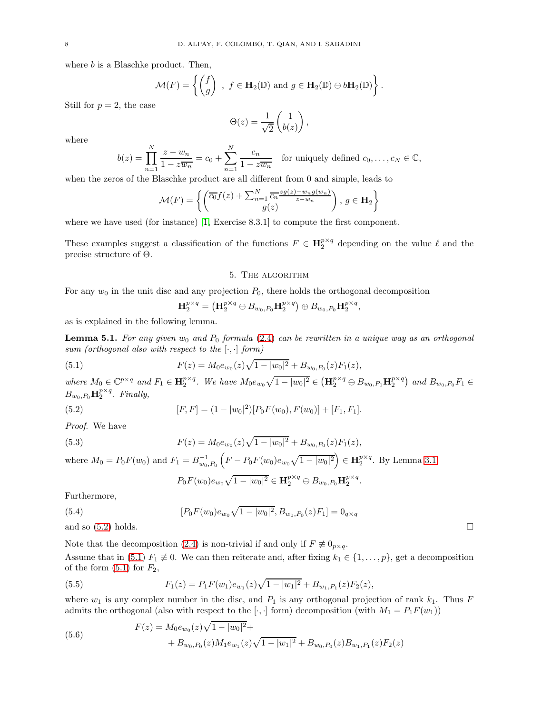where  $b$  is a Blaschke product. Then,

$$
\mathcal{M}(F) = \left\{ \begin{pmatrix} f \\ g \end{pmatrix} , f \in \mathbf{H}_2(\mathbb{D}) \text{ and } g \in \mathbf{H}_2(\mathbb{D}) \ominus b\mathbf{H}_2(\mathbb{D}) \right\}.
$$

Still for  $p = 2$ , the case

$$
\Theta(z) = \frac{1}{\sqrt{2}} \begin{pmatrix} 1 \\ b(z) \end{pmatrix},
$$

where

$$
b(z) = \prod_{n=1}^{N} \frac{z - w_n}{1 - z\overline{w_n}} = c_0 + \sum_{n=1}^{N} \frac{c_n}{1 - z\overline{w_n}}
$$
 for uniquely defined  $c_0, \ldots, c_N \in \mathbb{C}$ ,

when the zeros of the Blaschke product are all different from 0 and simple, leads to

$$
\mathcal{M}(F) = \left\{ \left( \frac{\overline{c_0} f(z) + \sum_{n=1}^{N} \overline{c_n} \frac{z g(z) - w_n g(w_n)}{z - w_n}}{g(z)} \right), \ g \in \mathbf{H}_2 \right\}
$$

where we have used (for instance) [\[1,](#page-14-17) Exercise 8.3.1] to compute the first component.

<span id="page-9-0"></span>These examples suggest a classification of the functions  $F \in \mathbf{H}_{2}^{p \times q}$  depending on the value  $\ell$  and the precise structure of Θ.

#### 5. The algorithm

For any  $w_0$  in the unit disc and any projection  $P_0$ , there holds the orthogonal decomposition

<span id="page-9-2"></span>
$$
\mathbf{H}_2^{p\times q}=\left(\mathbf{H}_2^{p\times q}\ominus B_{w_0,P_0}\mathbf{H}_2^{p\times q}\right)\oplus B_{w_0,P_0}\mathbf{H}_2^{p\times q},
$$

as is explained in the following lemma.

**Lemma 5.1.** For any given  $w_0$  and  $P_0$  formula [\(2.4\)](#page-5-3) can be rewritten in a unique way as an orthogonal sum (orthogonal also with respect to the  $[\cdot, \cdot]$  form)

(5.1) 
$$
F(z) = M_0 e_{w_0}(z) \sqrt{1 - |w_0|^2} + B_{w_0, P_0}(z) F_1(z),
$$

where  $M_0 \in \mathbb{C}^{p \times q}$  and  $F_1 \in \mathbf{H}_2^{p \times q}$ . We have  $M_0 e_{w_0} \sqrt{1 - |w_0|^2} \in (\mathbf{H}_2^{p \times q} \ominus B_{w_0, P_0} \mathbf{H}_2^{p \times q})$  and  $B_{w_0, P_0} F_1 \in$  $B_{w_0,P_0} \mathbf{H}_2^{p \times q}$ . Finally,

(5.2) 
$$
[F,F] = (1 - |w_0|^2)[P_0F(w_0), F(w_0)] + [F_1, F_1].
$$

Proof. We have

(5.3) 
$$
F(z) = M_0 e_{w_0}(z) \sqrt{1 - |w_0|^2} + B_{w_0, P_0}(z) F_1(z),
$$

where  $M_0 = P_0 F(w_0)$  and  $F_1 = B_{w_0, P_0}^{-1} \left( F - P_0 F(w_0) e_{w_0} \sqrt{1 - |w_0|^2} \right) \in \mathbf{H}_2^{p \times q}$ . By Lemma [3.1,](#page-6-5)

<span id="page-9-1"></span>
$$
P_0F(w_0)e_{w_0}\sqrt{1-|w_0|^2}\in \mathbf{H}_2^{p\times q}\ominus B_{w_0,P_0}\mathbf{H}_2^{p\times q}.
$$

Furthermore,

(5.4) 
$$
[P_0 F(w_0) e_{w_0} \sqrt{1 - |w_0|^2}, B_{w_0, P_0}(z) F_1] = 0_{q \times q}
$$

and so  $(5.2)$  holds.

Note that the decomposition [\(2.4\)](#page-5-3) is non-trivial if and only if  $F \not\equiv 0_{p \times q}$ .

Assume that in [\(5.1\)](#page-9-2)  $F_1 \neq 0$ . We can then reiterate and, after fixing  $k_1 \in \{1, \ldots, p\}$ , get a decomposition of the form  $(5.1)$  for  $F_2$ ,

(5.5) 
$$
F_1(z) = P_1 F(w_1) e_{w_1}(z) \sqrt{1 - |w_1|^2} + B_{w_1, P_1}(z) F_2(z),
$$

where  $w_1$  is any complex number in the disc, and  $P_1$  is any orthogonal projection of rank  $k_1$ . Thus F admits the orthogonal (also with respect to the [ $\cdot, \cdot$ ] form) decomposition (with  $M_1 = P_1F(w_1)$ )

(5.6) 
$$
F(z) = M_0 e_{w_0}(z) \sqrt{1 - |w_0|^2} + B_{w_0, P_0}(z) M_1 e_{w_1}(z) \sqrt{1 - |w_1|^2} + B_{w_0, P_0}(z) B_{w_1, P_1}(z) F_2(z)
$$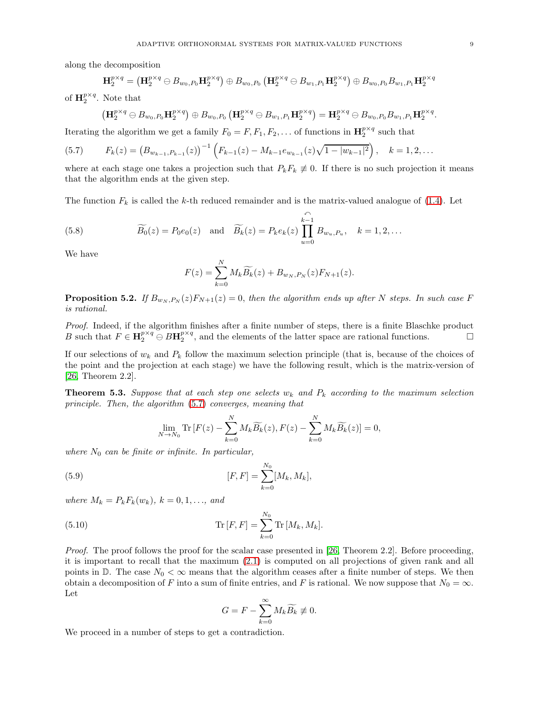along the decomposition

$$
\mathbf{H}_{2}^{p\times q}=\left(\mathbf{H}_{2}^{p\times q}\ominus B_{w_{0},P_{0}}\mathbf{H}_{2}^{p\times q}\right)\oplus B_{w_{0},P_{0}}\left(\mathbf{H}_{2}^{p\times q}\ominus B_{w_{1},P_{1}}\mathbf{H}_{2}^{p\times q}\right)\oplus B_{w_{0},P_{0}}B_{w_{1},P_{1}}\mathbf{H}_{2}^{p\times q}
$$

of  $\mathbf{H}_{2}^{p\times q}$ . Note that

<span id="page-10-0"></span>
$$
\left(\mathbf{H}_{2}^{p\times q}\ominus B_{w_{0},P_{0}}\mathbf{H}_{2}^{p\times q}\right)\oplus B_{w_{0},P_{0}}\left(\mathbf{H}_{2}^{p\times q}\ominus B_{w_{1},P_{1}}\mathbf{H}_{2}^{p\times q}\right)=\mathbf{H}_{2}^{p\times q}\ominus B_{w_{0},P_{0}}B_{w_{1},P_{1}}\mathbf{H}_{2}^{p\times q}.
$$

Iterating the algorithm we get a family  $F_0 = F, F_1, F_2, \dots$  of functions in  $\mathbf{H}_2^{p \times q}$  such that

(5.7) 
$$
F_k(z) = (B_{w_{k-1},P_{k-1}}(z))^{-1} \left( F_{k-1}(z) - M_{k-1}e_{w_{k-1}}(z)\sqrt{1-|w_{k-1}|^2} \right), \quad k = 1,2,\ldots
$$

where at each stage one takes a projection such that  $P_kF_k \neq 0$ . If there is no such projection it means that the algorithm ends at the given step.

The function  $F_k$  is called the k-th reduced remainder and is the matrix-valued analogue of [\(1.4\)](#page-3-1). Let

(5.8) 
$$
\widetilde{B_0}(z) = P_0 e_0(z) \quad \text{and} \quad \widetilde{B_k}(z) = P_k e_k(z) \prod_{u=0}^{\widehat{k-1}} B_{w_u, P_u}, \quad k = 1, 2, \dots
$$

We have

$$
F(z) = \sum_{k=0}^{N} M_k \widetilde{B_k}(z) + B_{w_N, P_N}(z) F_{N+1}(z).
$$

<span id="page-10-2"></span>**Proposition 5.2.** If  $B_{w_N, P_N}(z)F_{N+1}(z) = 0$ , then the algorithm ends up after N steps. In such case F is rational.

Proof. Indeed, if the algorithm finishes after a finite number of steps, there is a finite Blaschke product B such that  $F \in \mathbf{H}_{2}^{p \times q} \oplus B\mathbf{H}_{2}^{p \times q}$ , and the elements of the latter space are rational functions.

If our selections of  $w_k$  and  $P_k$  follow the maximum selection principle (that is, because of the choices of the point and the projection at each stage) we have the following result, which is the matrix-version of [\[26,](#page-14-1) Theorem 2.2].

**Theorem 5.3.** Suppose that at each step one selects  $w_k$  and  $P_k$  according to the maximum selection principle. Then, the algorithm [\(5.7\)](#page-10-0) converges, meaning that

$$
\lim_{N \to N_0} \text{Tr}\left[F(z) - \sum_{k=0}^{N} M_k \widetilde{B_k}(z), F(z) - \sum_{k=0}^{N} M_k \widetilde{B_k}(z)\right] = 0,
$$

where  $N_0$  can be finite or infinite. In particular,

(5.9) 
$$
[F,F] = \sum_{k=0}^{N_0} [M_k, M_k],
$$

where  $M_k = P_k F_k(w_k)$ ,  $k = 0, 1, ...,$  and

(5.10) 
$$
\text{Tr}\left[F, F\right] = \sum_{k=0}^{N_0} \text{Tr}\left[M_k, M_k\right].
$$

Proof. The proof follows the proof for the scalar case presented in [\[26,](#page-14-1) Theorem 2.2]. Before proceeding, it is important to recall that the maximum [\(2.1\)](#page-5-4) is computed on all projections of given rank and all points in  $\mathbb{D}$ . The case  $N_0 < \infty$  means that the algorithm ceases after a finite number of steps. We then obtain a decomposition of F into a sum of finite entries, and F is rational. We now suppose that  $N_0 = \infty$ . Let

<span id="page-10-1"></span>
$$
G = F - \sum_{k=0}^{\infty} M_k \widetilde{B_k} \not\equiv 0.
$$

We proceed in a number of steps to get a contradiction.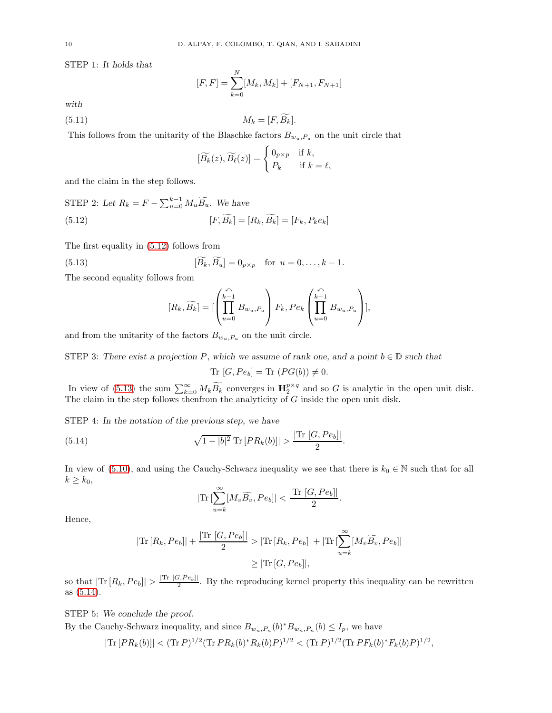STEP 1: It holds that

$$
[F, F] = \sum_{k=0}^{N} [M_k, M_k] + [F_{N+1}, F_{N+1}]
$$

with

$$
(5.11) \t\t M_k = [F, \widetilde{B_k}].
$$

This follows from the unitarity of the Blaschke factors  $B_{w_u,P_u}$  on the unit circle that

<span id="page-11-3"></span><span id="page-11-0"></span>
$$
[\widetilde{B_k}(z), \widetilde{B_\ell}(z)] = \begin{cases} 0_{p \times p} & \text{if } k, \\ P_k & \text{if } k = \ell, \end{cases}
$$

and the claim in the step follows.

$$
\text{STEP 2: Let } R_k = F - \sum_{u=0}^{k-1} M_u \widetilde{B_u}. \text{ We have}
$$
\n
$$
[F, \widetilde{B_k}] = [R_k, \widetilde{B_k}] = [F_k, P_k e_k]
$$

The first equality in [\(5.12\)](#page-11-0) follows from

(5.13) 
$$
[\widetilde{B}_k, \widetilde{B}_u] = 0_{p \times p} \text{ for } u = 0, \dots, k-1.
$$

The second equality follows from

<span id="page-11-1"></span>
$$
[R_k, \widetilde{B_k}] = [\left( \prod_{u=0}^{\stackrel{\curvearrowleft}{k-1}} B_{w_u, P_u} \right) F_k, Pe_k \left( \prod_{u=0}^{\stackrel{\curvearrowleft}{k-1}} B_{w_u, P_u} \right) ],
$$

and from the unitarity of the factors  $B_{w_u,P_u}$  on the unit circle.

STEP 3: There exist a projection P, which we assume of rank one, and a point  $b \in \mathbb{D}$  such that

$$
\mathrm{Tr}\, [G,Pe_b] = \mathrm{Tr}\, (PG(b)) \neq 0.
$$

In view of [\(5.13\)](#page-11-1) the sum  $\sum_{k=0}^{\infty} M_k \widetilde{B_k}$  converges in  $\mathbf{H}_2^{p \times q}$  and so G is analytic in the open unit disk. The claim in the step follows thenfrom the analyticity of G inside the open unit disk.

STEP 4: In the notation of the previous step, we have

(5.14) 
$$
\sqrt{1-|b|^2} \text{Tr} [PR_k(b)] > \frac{|\text{Tr} [G, Pe_b]|}{2}
$$

In view of [\(5.10\)](#page-10-1), and using the Cauchy-Schwarz inequality we see that there is  $k_0 \in \mathbb{N}$  such that for all  $k \geq k_0$ ,

.

<span id="page-11-2"></span>
$$
|\text{Tr}\left[\sum_{u=k}^{\infty} [M_v \widetilde{B_v}, Pe_b]\right] < \frac{|\text{Tr}\left[G, Pe_b\right]|}{2}.
$$

Hence,

$$
|\text{Tr}\left[R_k, Pe_b\right]| + \frac{|\text{Tr}\left[G, Pe_b\right]|}{2} > |\text{Tr}\left[R_k, Pe_b\right]| + |\text{Tr}\left[\sum_{u=k}^{\infty} [M_v\widetilde{B_v}, Pe_b]\right]|
$$
  

$$
\geq |\text{Tr}\left[G, Pe_b\right]|,
$$

so that  $|\text{Tr }[R_k,Pe_b]| > \frac{|\text{Tr }[G,Pe_b]|}{2}$ . By the reproducing kernel property this inequality can be rewritten as [\(5.14\)](#page-11-2).

STEP 5: We conclude the proof.

By the Cauchy-Schwarz inequality, and since  $B_{w_n,P_n}(b)^*B_{w_n,P_n}(b) \leq I_p$ , we have

$$
|\text{Tr}\left[PR_k(b)\right]| < (\text{Tr}\,P)^{1/2}(\text{Tr}\,PR_k(b)^*R_k(b)P)^{1/2} < (\text{Tr}\,P)^{1/2}(\text{Tr}\,PF_k(b)^*F_k(b)P)^{1/2},
$$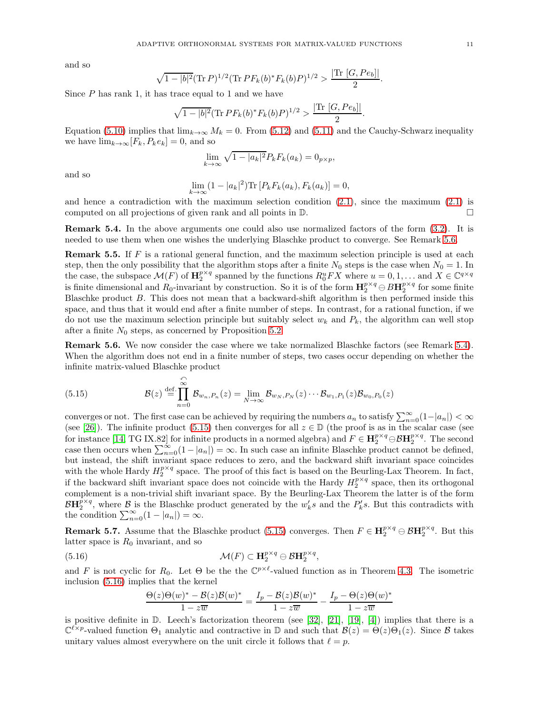and so

$$
\sqrt{1-|b|^2} (\text{Tr } P)^{1/2} (\text{Tr } P F_k(b)^* F_k(b) P)^{1/2} > \frac{|\text{Tr } [G, Pe_b]|}{2}
$$

Since  $P$  has rank 1, it has trace equal to 1 and we have

$$
\sqrt{1-|b|^2}(\text{Tr}\,PF_k(b)^*F_k(b)P)^{1/2} > \frac{|\text{Tr }[G,Pe_b]|}{2}.
$$

Equation [\(5.10\)](#page-10-1) implies that  $\lim_{k\to\infty} M_k = 0$ . From [\(5.12\)](#page-11-0) and [\(5.11\)](#page-11-3) and the Cauchy-Schwarz inequality we have  $\lim_{k\to\infty} [F_k, P_k e_k] = 0$ , and so

$$
\lim_{k \to \infty} \sqrt{1 - |a_k|^2} P_k F_k(a_k) = 0_{p \times p},
$$

and so

$$
\lim_{k \to \infty} (1 - |a_k|^2) \text{Tr} \left[ P_k F_k(a_k), F_k(a_k) \right] = 0,
$$

and hence a contradiction with the maximum selection condition  $(2.1)$ , since the maximum  $(2.1)$  is computed on all projections of given rank and all points in D.

<span id="page-12-1"></span>Remark 5.4. In the above arguments one could also use normalized factors of the form [\(3.2\)](#page-6-7). It is needed to use them when one wishes the underlying Blaschke product to converge. See Remark [5.6.](#page-12-0)

**Remark 5.5.** If  $F$  is a rational general function, and the maximum selection principle is used at each step, then the only possibility that the algorithm stops after a finite  $N_0$  steps is the case when  $N_0 = 1$ . In the case, the subspace  $\mathcal{M}(F)$  of  $\mathbf{H}_{2}^{p\times q}$  spanned by the functions  $R_{0}^{u}FX$  where  $u = 0, 1, \ldots$  and  $X \in \mathbb{C}^{q\times q}$ is finite dimensional and  $R_0$ -invariant by construction. So it is of the form  $\mathbf{H}_2^{p \times q} \ominus B\mathbf{H}_2^{p \times q}$  for some finite Blaschke product B. This does not mean that a backward-shift algorithm is then performed inside this space, and thus that it would end after a finite number of steps. In contrast, for a rational function, if we do not use the maximum selection principle but suitably select  $w_k$  and  $P_k$ , the algorithm can well stop after a finite  $N_0$  steps, as concerned by Proposition [5.2.](#page-10-2)

<span id="page-12-0"></span>Remark 5.6. We now consider the case where we take normalized Blaschke factors (see Remark [5.4\)](#page-12-1). When the algorithm does not end in a finite number of steps, two cases occur depending on whether the infinite matrix-valued Blaschke product

(5.15) 
$$
\mathcal{B}(z) \stackrel{\text{def.}}{=} \prod_{n=0}^{\infty} \mathcal{B}_{w_n, P_n}(z) = \lim_{N \to \infty} \mathcal{B}_{w_N, P_N}(z) \cdots \mathcal{B}_{w_1, P_1}(z) \mathcal{B}_{w_0, P_0}(z)
$$

converges or not. The first case can be achieved by requiring the numbers  $a_n$  to satisfy  $\sum_{n=0}^{\infty} (1-|a_n|) < \infty$ (see [\[26\]](#page-14-1)). The infinite product [\(5.15\)](#page-12-2) then converges for all  $z \in \mathbb{D}$  (the proof is as in the scalar case (see for instance [\[14,](#page-14-18) TG IX.82] for infinite products in a normed algebra) and  $F \in \mathbf{H}_{2}^{p \times q} \oplus \mathcal{B} \mathbf{H}_{2}^{p \times q}$ . The second case then occurs when  $\sum_{n=0}^{\infty} (1 - |a_n|) = \infty$ . In such case an infinite Blaschke product cannot be defined, but instead, the shift invariant space reduces to zero, and the backward shift invariant space coincides with the whole Hardy  $H_2^{p \times q}$  space. The proof of this fact is based on the Beurling-Lax Theorem. In fact, if the backward shift invariant space does not coincide with the Hardy  $H_2^{p \times q}$  space, then its orthogonal complement is a non-trivial shift invariant space. By the Beurling-Lax Theorem the latter is of the form  $\mathcal{B}H_2^{p\times q}$ , where  $\mathcal{B}$  is the Blaschke product generated by the  $w'_ks$  and the  $P'_ks$ . But this contradicts with the condition  $\sum_{n=0}^{\infty} (1 - |a_n|) = \infty$ .

**Remark 5.7.** Assume that the Blaschke product [\(5.15\)](#page-12-2) converges. Then  $F \in \mathbf{H}_{2}^{p \times q} \oplus \mathcal{B} \mathbf{H}_{2}^{p \times q}$ . But this latter space is  $R_0$  invariant, and so

(5.16) 
$$
\mathcal{M}(F) \subset \mathbf{H}_{2}^{p \times q} \ominus \mathcal{B}\mathbf{H}_{2}^{p \times q}
$$

<span id="page-12-2"></span> $\sim$ 

and F is not cyclic for  $R_0$ . Let  $\Theta$  be the the  $\mathbb{C}^{p\times \ell}$ -valued function as in Theorem [4.3.](#page-8-4) The isometric inclusion [\(5.16\)](#page-12-3) implies that the kernel

,

<span id="page-12-3"></span>
$$
\frac{\Theta(z)\Theta(w)^{*} - \mathcal{B}(z)\mathcal{B}(w)^{*}}{1 - z\overline{w}} = \frac{I_p - \mathcal{B}(z)\mathcal{B}(w)^{*}}{1 - z\overline{w}} - \frac{I_p - \Theta(z)\Theta(w)^{*}}{1 - z\overline{w}}
$$

is positive definite in D. Leech's factorization theorem (see [\[32\]](#page-15-2), [\[21\]](#page-14-19), [\[19\]](#page-14-20), [\[4\]](#page-14-21)) implies that there is a  $\mathbb{C}^{\ell \times p}$ -valued function  $\Theta_1$  analytic and contractive in  $\mathbb{D}$  and such that  $\mathcal{B}(z) = \Theta(z)\Theta_1(z)$ . Since  $\mathcal{B}$  takes unitary values almost everywhere on the unit circle it follows that  $\ell = p$ .

.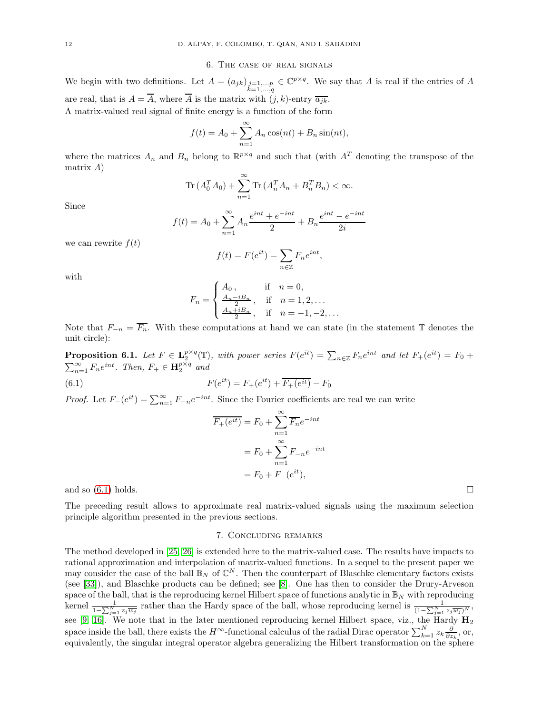#### 6. The case of real signals

<span id="page-13-0"></span>We begin with two definitions. Let  $A = (a_{jk})_{\substack{j=1,\ldots,p\\k=1,\ldots,q}} \in \mathbb{C}^{p \times q}$ . We say that A is real if the entries of A are real, that is  $A = \overline{A}$ , where  $\overline{A}$  is the matrix with  $(j, k)$ -entry  $\overline{a_{ik}}$ . A matrix-valued real signal of finite energy is a function of the form

$$
f(t) = A_0 + \sum_{n=1}^{\infty} A_n \cos(nt) + B_n \sin(nt),
$$

where the matrices  $A_n$  and  $B_n$  belong to  $\mathbb{R}^{p \times q}$  and such that (with  $A^T$  denoting the transpose of the matrix A)

$$
\operatorname{Tr}\left(A_0^T A_0\right) + \sum_{n=1}^{\infty} \operatorname{Tr}\left(A_n^T A_n + B_n^T B_n\right) < \infty.
$$

Since

$$
f(t) = A_0 + \sum_{n=1}^{\infty} A_n \frac{e^{int} + e^{-int}}{2} + B_n \frac{e^{int} - e^{-int}}{2i}
$$

we can rewrite  $f(t)$ 

$$
f(t) = F(e^{it}) = \sum_{n \in \mathbb{Z}} F_n e^{int},
$$

with

$$
F_n = \begin{cases} A_0, & \text{if } n = 0, \\ \frac{A_n - iB_n}{2}, & \text{if } n = 1, 2, ... \\ \frac{A_n + iB_n}{2}, & \text{if } n = -1, -2, ... \end{cases}
$$

Note that  $F_{-n} = \overline{F_n}$ . With these computations at hand we can state (in the statement T denotes the unit circle):

**Proposition 6.1.** Let  $F \in \mathbf{L}_2^{p \times q}(\mathbb{T})$ , with power series  $F(e^{it}) = \sum_{n \in \mathbb{Z}} F_n e^{int}$  and let  $F_+(e^{it}) = F_0 +$  $\sum_{n=1}^{\infty} F_n e^{int}$ . Then,  $F_+ \in \mathbf{H}_2^{p \times q}$  and

(6.1) 
$$
F(e^{it}) = F_+(e^{it}) + \overline{F_+(e^{it})} - F_0
$$

*Proof.* Let  $F_{-}(e^{it}) = \sum_{n=1}^{\infty} F_{-n}e^{-int}$ . Since the Fourier coefficients are real we can write

<span id="page-13-2"></span>
$$
\overline{F_{+}(e^{it})} = F_0 + \sum_{n=1}^{\infty} \overline{F_n} e^{-int}
$$

$$
= F_0 + \sum_{n=1}^{\infty} F_{-n} e^{-int}
$$

$$
= F_0 + F_{-}(e^{it}),
$$

and so  $(6.1)$  holds.

<span id="page-13-1"></span>The preceding result allows to approximate real matrix-valued signals using the maximum selection principle algorithm presented in the previous sections.

## 7. Concluding remarks

The method developed in [\[25,](#page-14-3) [26\]](#page-14-1) is extended here to the matrix-valued case. The results have impacts to rational approximation and interpolation of matrix-valued functions. In a sequel to the present paper we may consider the case of the ball  $\mathbb{B}_N$  of  $\mathbb{C}^N$ . Then the counterpart of Blaschke elementary factors exists (see [\[33\]](#page-15-3)), and Blaschke products can be defined; see [\[8\]](#page-14-22). One has then to consider the Drury-Arveson space of the ball, that is the reproducing kernel Hilbert space of functions analytic in  $\mathbb{B}_N$  with reproducing kernel  $\frac{1}{1-\sum_{j=1}^N z_j\overline{w_j}}$  rather than the Hardy space of the ball, whose reproducing kernel is  $\frac{1}{(1-\sum_{j=1}^N z_j\overline{w_j})^N}$ , see [\[9,](#page-14-23) [16\]](#page-14-24). We note that in the later mentioned reproducing kernel Hilbert space, viz., the Hardy  $H_2$ space inside the ball, there exists the  $H^{\infty}$ -functional calculus of the radial Dirac operator  $\sum_{k=1}^{N} z_k \frac{\partial}{\partial z_k}$ , or, equivalently, the singular integral operator algebra generalizing the Hilbert transformation on the sphere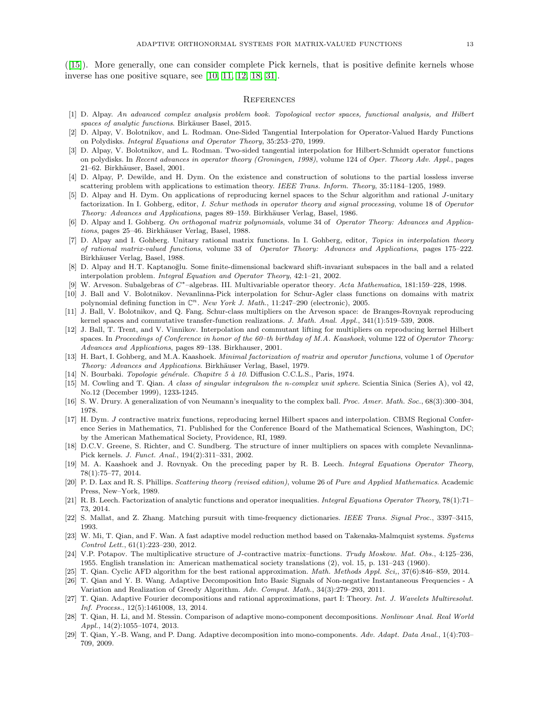([\[15\]](#page-14-25)). More generally, one can consider complete Pick kernels, that is positive definite kernels whose inverse has one positive square, see [\[10,](#page-14-26) [11,](#page-14-27) [12,](#page-14-28) [18,](#page-14-29) [31\]](#page-15-4).

#### <span id="page-14-0"></span>**REFERENCES**

- <span id="page-14-17"></span><span id="page-14-8"></span>[1] D. Alpay. *An advanced complex analysis problem book. Topological vector spaces, functional analysis, and Hilbert spaces of analytic functions*. Birk¨auser Basel, 2015.
- [2] D. Alpay, V. Bolotnikov, and L. Rodman. One-Sided Tangential Interpolation for Operator-Valued Hardy Functions on Polydisks. *Integral Equations and Operator Theory*, 35:253–270, 1999.
- <span id="page-14-9"></span>[3] D. Alpay, V. Bolotnikov, and L. Rodman. Two-sided tangential interpolation for Hilbert-Schmidt operator functions on polydisks. In *Recent advances in operator theory (Groningen, 1998)*, volume 124 of *Oper. Theory Adv. Appl.*, pages 21–62. Birkhäuser, Basel, 2001.
- <span id="page-14-21"></span><span id="page-14-15"></span>[4] D. Alpay, P. Dewilde, and H. Dym. On the existence and construction of solutions to the partial lossless inverse scattering problem with applications to estimation theory. *IEEE Trans. Inform. Theory*, 35:1184–1205, 1989.
- [5] D. Alpay and H. Dym. On applications of reproducing kernel spaces to the Schur algorithm and rational J-unitary factorization. In I. Gohberg, editor, *I. Schur methods in operator theory and signal processing*, volume 18 of *Operator Theory: Advances and Applications*, pages 89–159. Birkhäuser Verlag, Basel, 1986.
- <span id="page-14-11"></span><span id="page-14-10"></span>[6] D. Alpay and I. Gohberg. *On orthogonal matrix polynomials*, volume 34 of *Operator Theory: Advances and Applica*tions, pages 25–46. Birkhäuser Verlag, Basel, 1988.
- [7] D. Alpay and I. Gohberg. Unitary rational matrix functions. In I. Gohberg, editor, *Topics in interpolation theory of rational matrix-valued functions*, volume 33 of *Operator Theory: Advances and Applications*, pages 175–222. Birkhäuser Verlag, Basel, 1988.
- <span id="page-14-22"></span>[8] D. Alpay and H.T. Kaptanoğlu. Some finite-dimensional backward shift-invariant subspaces in the ball and a related interpolation problem. *Integral Equation and Operator Theory*, 42:1–21, 2002.
- <span id="page-14-26"></span><span id="page-14-23"></span>[9] W. Arveson. Subalgebras of C∗–algebras. III. Multivariable operator theory. *Acta Mathematica*, 181:159–228, 1998.
- [10] J. Ball and V. Bolotnikov. Nevanlinna-Pick interpolation for Schur-Agler class functions on domains with matrix polynomial defining function in  $\mathbb{C}^n$ . *New York J. Math.*, 11:247-290 (electronic), 2005.
- <span id="page-14-27"></span>[11] J. Ball, V. Bolotnikov, and Q. Fang. Schur-class multipliers on the Arveson space: de Branges-Rovnyak reproducing kernel spaces and commutative transfer-function realizations. *J. Math. Anal. Appl.*, 341(1):519–539, 2008.
- <span id="page-14-28"></span>[12] J. Ball, T. Trent, and V. Vinnikov. Interpolation and commutant lifting for multipliers on reproducing kernel Hilbert spaces. In *Proceedings of Conference in honor of the 60–th birthday of M.A. Kaashoek*, volume 122 of *Operator Theory: Advances and Applications*, pages 89–138. Birkhauser, 2001.
- <span id="page-14-13"></span>[13] H. Bart, I. Gohberg, and M.A. Kaashoek. *Minimal factorization of matrix and operator functions*, volume 1 of *Operator Theory: Advances and Applications*. Birkh¨auser Verlag, Basel, 1979.
- <span id="page-14-25"></span><span id="page-14-18"></span>[14] N. Bourbaki. *Topologie générale. Chapitre 5 à 10*. Diffusion C.C.L.S., Paris, 1974.
- [15] M. Cowling and T. Qian. *A class of singular integralson the n-complex unit sphere*. Scientia Sinica (Series A), vol 42, No.12 (December 1999), 1233-1245.
- <span id="page-14-24"></span><span id="page-14-14"></span>[16] S. W. Drury. A generalization of von Neumann's inequality to the complex ball. *Proc. Amer. Math. Soc.*, 68(3):300–304, 1978.
- [17] H. Dym. J contractive matrix functions, reproducing kernel Hilbert spaces and interpolation. CBMS Regional Conference Series in Mathematics, 71. Published for the Conference Board of the Mathematical Sciences, Washington, DC; by the American Mathematical Society, Providence, RI, 1989.
- <span id="page-14-29"></span>[18] D.C.V. Greene, S. Richter, and C. Sundberg. The structure of inner multipliers on spaces with complete Nevanlinna-Pick kernels. *J. Funct. Anal.*, 194(2):311–331, 2002.
- <span id="page-14-20"></span>[19] M. A. Kaashoek and J. Rovnyak. On the preceding paper by R. B. Leech. *Integral Equations Operator Theory*, 78(1):75–77, 2014.
- <span id="page-14-16"></span>[20] P. D. Lax and R. S. Phillips. *Scattering theory (revised edition)*, volume 26 of *Pure and Applied Mathematics*. Academic Press, New–York, 1989.
- <span id="page-14-19"></span>[21] R. B. Leech. Factorization of analytic functions and operator inequalities. *Integral Equations Operator Theory*, 78(1):71– 73, 2014.
- <span id="page-14-7"></span>[22] S. Mallat, and Z. Zhang. Matching pursuit with time-frequency dictionaries. *IEEE Trans. Signal Proc.*, 3397–3415, 1993.
- <span id="page-14-2"></span>[23] W. Mi, T. Qian, and F. Wan. A fast adaptive model reduction method based on Takenaka-Malmquist systems. *Systems Control Lett.*, 61(1):223–230, 2012.
- <span id="page-14-12"></span>[24] V.P. Potapov. The multiplicative structure of J-contractive matrix–functions. *Trudy Moskow. Mat. Obs.*, 4:125–236, 1955. English translation in: American mathematical society translations (2), vol. 15, p. 131–243 (1960).
- <span id="page-14-3"></span><span id="page-14-1"></span>[25] T. Qian. Cyclic AFD algorithm for the best rational approximation. *Math. Methods Appl. Sci,*, 37(6):846–859, 2014.
- [26] T. Qian and Y. B. Wang. Adaptive Decomposition Into Basic Signals of Non-negative Instantaneous Frequencies A Variation and Realization of Greedy Algorithm. *Adv. Comput. Math.*, 34(3):279–293, 2011.
- <span id="page-14-4"></span>[27] T. Qian. Adaptive Fourier decompositions and rational approximations, part I: Theory. *Int. J. Wavelets Multiresolut. Inf. Process.*, 12(5):1461008, 13, 2014.
- <span id="page-14-5"></span>[28] T. Qian, H. Li, and M. Stessin. Comparison of adaptive mono-component decompositions. *Nonlinear Anal. Real World Appl.*, 14(2):1055–1074, 2013.
- <span id="page-14-6"></span>[29] T. Qian, Y.-B. Wang, and P. Dang. Adaptive decomposition into mono-components. *Adv. Adapt. Data Anal.*, 1(4):703– 709, 2009.